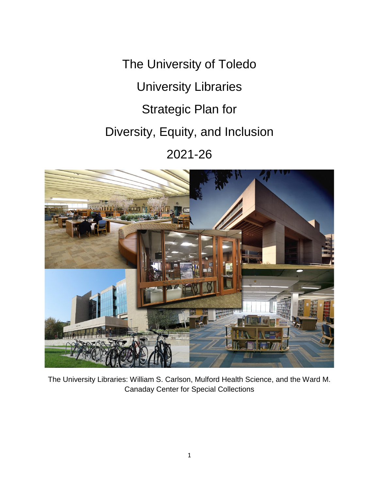The University of Toledo University Libraries Strategic Plan for Diversity, Equity, and Inclusion 2021-26



The University Libraries: William S. Carlson, Mulford Health Science, and the Ward M. Canaday Center for Special Collections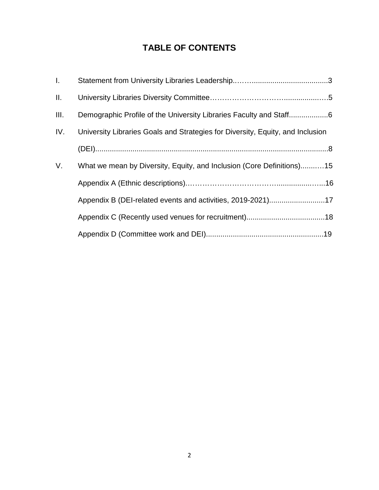# **TABLE OF CONTENTS**

| $\mathbf{L}$ |                                                                                |
|--------------|--------------------------------------------------------------------------------|
| Ш.           |                                                                                |
| III.         |                                                                                |
| IV.          | University Libraries Goals and Strategies for Diversity, Equity, and Inclusion |
|              |                                                                                |
| V.           | What we mean by Diversity, Equity, and Inclusion (Core Definitions)15          |
|              |                                                                                |
|              | Appendix B (DEI-related events and activities, 2019-2021)17                    |
|              |                                                                                |
|              |                                                                                |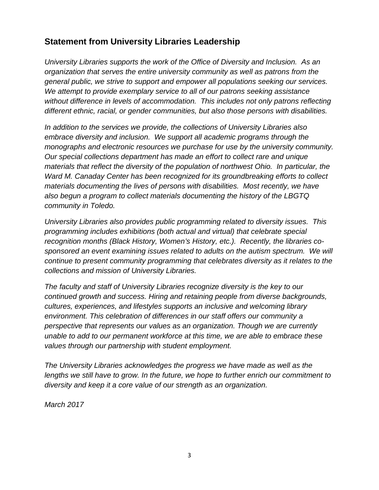# **Statement from University Libraries Leadership**

*University Libraries supports the work of the Office of Diversity and Inclusion. As an organization that serves the entire university community as well as patrons from the general public, we strive to support and empower all populations seeking our services. We attempt to provide exemplary service to all of our patrons seeking assistance without difference in levels of accommodation. This includes not only patrons reflecting different ethnic, racial, or gender communities, but also those persons with disabilities.*

*In addition to the services we provide, the collections of University Libraries also embrace diversity and inclusion. We support all academic programs through the monographs and electronic resources we purchase for use by the university community. Our special collections department has made an effort to collect rare and unique materials that reflect the diversity of the population of northwest Ohio. In particular, the Ward M. Canaday Center has been recognized for its groundbreaking efforts to collect materials documenting the lives of persons with disabilities. Most recently, we have also begun a program to collect materials documenting the history of the LBGTQ community in Toledo.*

*University Libraries also provides public programming related to diversity issues. This programming includes exhibitions (both actual and virtual) that celebrate special recognition months (Black History, Women's History, etc.). Recently, the libraries cosponsored an event examining issues related to adults on the autism spectrum. We will continue to present community programming that celebrates diversity as it relates to the collections and mission of University Libraries.*

*The faculty and staff of University Libraries recognize diversity is the key to our continued growth and success. Hiring and retaining people from diverse backgrounds, cultures, experiences, and lifestyles supports an inclusive and welcoming library environment. This celebration of differences in our staff offers our community a perspective that represents our values as an organization. Though we are currently unable to add to our permanent workforce at this time, we are able to embrace these values through our partnership with student employment.*

*The University Libraries acknowledges the progress we have made as well as the lengths we still have to grow. In the future, we hope to further enrich our commitment to diversity and keep it a core value of our strength as an organization.*

*March 2017*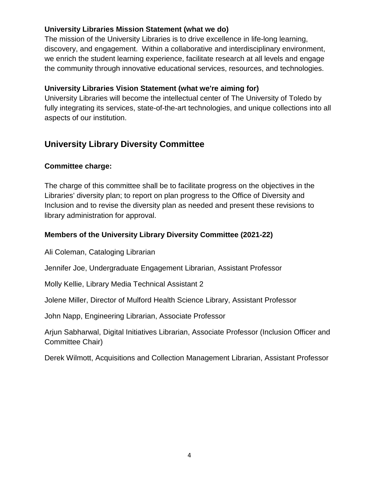## **University Libraries Mission Statement (what we do)**

The mission of the University Libraries is to drive excellence in life-long learning, discovery, and engagement. Within a collaborative and interdisciplinary environment, we enrich the student learning experience, facilitate research at all levels and engage the community through innovative educational services, resources, and technologies.

## **University Libraries Vision Statement (what we're aiming for)**

University Libraries will become the intellectual center of The University of Toledo by fully integrating its services, state-of-the-art technologies, and unique collections into all aspects of our institution.

## **University Library Diversity Committee**

## **Committee charge:**

The charge of this committee shall be to facilitate progress on the objectives in the Libraries' diversity plan; to report on plan progress to the Office of Diversity and Inclusion and to revise the diversity plan as needed and present these revisions to library administration for approval.

## **Members of the University Library Diversity Committee (2021-22)**

Ali Coleman, Cataloging Librarian

Jennifer Joe, Undergraduate Engagement Librarian, Assistant Professor

Molly Kellie, Library Media Technical Assistant 2

Jolene Miller, Director of Mulford Health Science Library, Assistant Professor

John Napp, Engineering Librarian, Associate Professor

Arjun Sabharwal, Digital Initiatives Librarian, Associate Professor (Inclusion Officer and Committee Chair)

Derek Wilmott, Acquisitions and Collection Management Librarian, Assistant Professor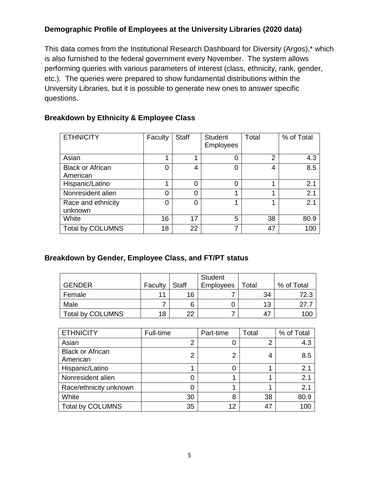## **Demographic Profile of Employees at the University Libraries (2020 data)**

This data comes from the Institutional Research Dashboard for Diversity (Argos),\* which is also furnished to the federal government every November. The system allows performing queries with various parameters of interest (class, ethnicity, rank, gender, etc.). The queries were prepared to show fundamental distributions within the University Libraries, but it is possible to generate new ones to answer specific questions.

## **Breakdown by Ethnicity & Employee Class**

| <b>ETHNICITY</b>                    | Faculty | <b>Staff</b> | <b>Student</b><br><b>Employees</b> | Total | % of Total |
|-------------------------------------|---------|--------------|------------------------------------|-------|------------|
| Asian                               |         |              | 0                                  | 2     | 4.3        |
| <b>Black or African</b><br>American | 0       | 4            | ი                                  | 4     | 8.5        |
| Hispanic/Latino                     |         |              | 0                                  |       | 2.1        |
| Nonresident alien                   | 0       |              | 4                                  |       | 2.1        |
| Race and ethnicity<br>unknown       | 0       |              | л                                  |       | 2.1        |
| White                               | 16      | 17           | 5                                  | 38    | 80.9       |
| <b>Total by COLUMNS</b>             | 18      | 22           | 7                                  | 47    | 100        |

## **Breakdown by Gender, Employee Class, and FT/PT status**

| <b>GENDER</b>    | Faculty | <b>Staff</b> | Student<br><b>Employees</b> | Total | % of Total |
|------------------|---------|--------------|-----------------------------|-------|------------|
| Female           | 11      | 16           |                             | 34    | 72.3       |
| Male             |         | 6            |                             | 13    | 27.        |
| Total by COLUMNS | 18      | 22           |                             | 47    | 100        |

| <b>ETHNICITY</b>                    | Full-time | Part-time | Total | % of Total |
|-------------------------------------|-----------|-----------|-------|------------|
| Asian                               | 2         |           | 2     | 4.3        |
| <b>Black or African</b><br>American | 2         | 2         | 4     | 8.5        |
| Hispanic/Latino                     |           |           |       | 2.1        |
| Nonresident alien                   |           |           |       | 2.1        |
| Race/ethnicity unknown              | 0         |           |       | 2.1        |
| White                               | 30        | 8         | 38    | 80.9       |
| <b>Total by COLUMNS</b>             | 35        | 12        | 47    | 100        |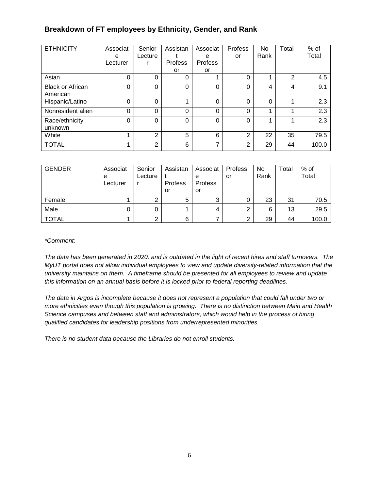## **Breakdown of FT employees by Ethnicity, Gender, and Rank**

| <b>ETHNICITY</b>        | Associat | Senior   | Assistan | Associat | Profess        | No   | Total | $%$ of |
|-------------------------|----------|----------|----------|----------|----------------|------|-------|--------|
|                         | e        | Lecture  |          | e        | or             | Rank |       | Total  |
|                         | Lecturer |          | Profess  | Profess  |                |      |       |        |
|                         |          |          | or       | or       |                |      |       |        |
| Asian                   | 0        | $\Omega$ | 0        |          | $\Omega$       |      | 2     | 4.5    |
| <b>Black or African</b> | 0        | $\Omega$ | 0        | 0        | $\Omega$       | 4    | 4     | 9.1    |
| American                |          |          |          |          |                |      |       |        |
| Hispanic/Latino         | 0        | $\Omega$ |          | 0        | $\Omega$       | 0    |       | 2.3    |
| Nonresident alien       | 0        | $\Omega$ | 0        | 0        | $\Omega$       |      |       | 2.3    |
| Race/ethnicity          | $\Omega$ | $\Omega$ | 0        | 0        | $\Omega$       |      |       | 2.3    |
| unknown                 |          |          |          |          |                |      |       |        |
| White                   |          | 2        | 5        | 6        | $\overline{2}$ | 22   | 35    | 79.5   |
| <b>TOTAL</b>            |          | 2        | 6        | ⇁        | 2              | 29   | 44    | 100.0  |

| <b>GENDER</b> | Associat<br>е<br>Lecturer | Senior<br>Lecture | Assistan<br><b>Profess</b> | Associat<br>е<br>Profess | Profess<br>or | No<br>Rank | Total | % of<br>Total |
|---------------|---------------------------|-------------------|----------------------------|--------------------------|---------------|------------|-------|---------------|
|               |                           |                   | or                         | or                       |               |            |       |               |
| Female        |                           |                   | 5                          | ◠                        |               | 23         | 31    | 70.5          |
| Male          | 0                         |                   |                            |                          | ົ             | 6          | 13    | 29.5          |
| <b>TOTAL</b>  |                           | ົ                 | 6                          |                          | ◠             | 29         | 44    | 100.0         |

#### *\*Comment:*

*The data has been generated in 2020, and is outdated in the light of recent hires and staff turnovers. The MyUT portal does not allow individual employees to view and update diversity-related information that the university maintains on them. A timeframe should be presented for all employees to review and update this information on an annual basis before it is locked prior to federal reporting deadlines.*

*The data in Argos is incomplete because it does not represent a population that could fall under two or more ethnicities even though this population is growing. There is no distinction between Main and Health Science campuses and between staff and administrators, which would help in the process of hiring qualified candidates for leadership positions from underrepresented minorities.*

*There is no student data because the Libraries do not enroll students.*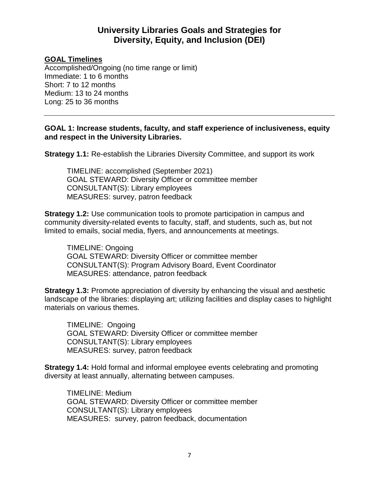## **University Libraries Goals and Strategies for Diversity, Equity, and Inclusion (DEI)**

#### **GOAL Timelines**

Accomplished/Ongoing (no time range or limit) Immediate: 1 to 6 months Short: 7 to 12 months Medium: 13 to 24 months Long: 25 to 36 months

#### **GOAL 1: Increase students, faculty, and staff experience of inclusiveness, equity and respect in the University Libraries.**

**Strategy 1.1:** Re-establish the Libraries Diversity Committee, and support its work

TIMELINE: accomplished (September 2021) GOAL STEWARD: Diversity Officer or committee member CONSULTANT(S): Library employees MEASURES: survey, patron feedback

**Strategy 1.2:** Use communication tools to promote participation in campus and community diversity-related events to faculty, staff, and students, such as, but not limited to emails, social media, flyers, and announcements at meetings.

TIMELINE: Ongoing GOAL STEWARD: Diversity Officer or committee member CONSULTANT(S): Program Advisory Board, Event Coordinator MEASURES: attendance, patron feedback

**Strategy 1.3:** Promote appreciation of diversity by enhancing the visual and aesthetic landscape of the libraries: displaying art; utilizing facilities and display cases to highlight materials on various themes.

TIMELINE: Ongoing GOAL STEWARD: Diversity Officer or committee member CONSULTANT(S): Library employees MEASURES: survey, patron feedback

**Strategy 1.4:** Hold formal and informal employee events celebrating and promoting diversity at least annually, alternating between campuses.

TIMELINE: Medium GOAL STEWARD: Diversity Officer or committee member CONSULTANT(S): Library employees MEASURES: survey, patron feedback, documentation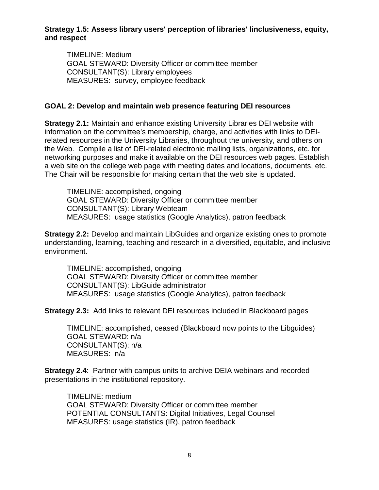#### **Strategy 1.5: Assess library users' perception of libraries' linclusiveness, equity, and respect**

TIMELINE: Medium GOAL STEWARD: Diversity Officer or committee member CONSULTANT(S): Library employees MEASURES: survey, employee feedback

#### **GOAL 2: Develop and maintain web presence featuring DEI resources**

**Strategy 2.1:** Maintain and enhance existing University Libraries DEI website with information on the committee's membership, charge, and activities with links to DEIrelated resources in the University Libraries, throughout the university, and others on the Web. Compile a list of DEI-related electronic mailing lists, organizations, etc. for networking purposes and make it available on the DEI resources web pages. Establish a web site on the college web page with meeting dates and locations, documents, etc. The Chair will be responsible for making certain that the web site is updated.

TIMELINE: accomplished, ongoing GOAL STEWARD: Diversity Officer or committee member CONSULTANT(S): Library Webteam MEASURES: usage statistics (Google Analytics), patron feedback

**Strategy 2.2:** Develop and maintain LibGuides and organize existing ones to promote understanding, learning, teaching and research in a diversified, equitable, and inclusive environment.

TIMELINE: accomplished, ongoing GOAL STEWARD: Diversity Officer or committee member CONSULTANT(S): LibGuide administrator MEASURES: usage statistics (Google Analytics), patron feedback

**Strategy 2.3:** Add links to relevant DEI resources included in Blackboard pages

TIMELINE: accomplished, ceased (Blackboard now points to the Libguides) GOAL STEWARD: n/a CONSULTANT(S): n/a MEASURES: n/a

**Strategy 2.4**: Partner with campus units to archive DEIA webinars and recorded presentations in the institutional repository.

TIMELINE: medium GOAL STEWARD: Diversity Officer or committee member POTENTIAL CONSULTANTS: Digital Initiatives, Legal Counsel MEASURES: usage statistics (IR), patron feedback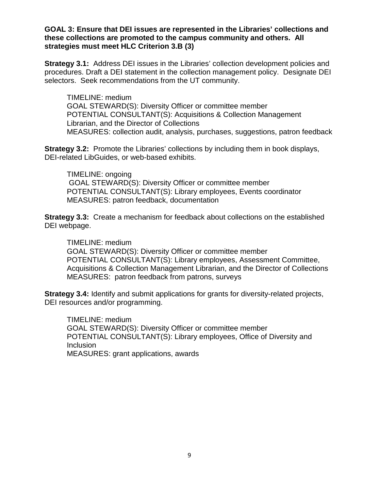#### **GOAL 3: Ensure that DEI issues are represented in the Libraries' collections and these collections are promoted to the campus community and others. All strategies must meet HLC Criterion 3.B (3)**

**Strategy 3.1:** Address DEI issues in the Libraries' collection development policies and procedures. Draft a DEI statement in the collection management policy. Designate DEI selectors. Seek recommendations from the UT community.

TIMELINE: medium GOAL STEWARD(S): Diversity Officer or committee member POTENTIAL CONSULTANT(S): Acquisitions & Collection Management Librarian, and the Director of Collections MEASURES: collection audit, analysis, purchases, suggestions, patron feedback

**Strategy 3.2:** Promote the Libraries' collections by including them in book displays, DEI-related LibGuides, or web-based exhibits.

TIMELINE: ongoing GOAL STEWARD(S): Diversity Officer or committee member POTENTIAL CONSULTANT(S): Library employees, Events coordinator MEASURES: patron feedback, documentation

**Strategy 3.3:** Create a mechanism for feedback about collections on the established DEI webpage.

TIMELINE: medium GOAL STEWARD(S): Diversity Officer or committee member POTENTIAL CONSULTANT(S): Library employees, Assessment Committee, Acquisitions & Collection Management Librarian, and the Director of Collections MEASURES: patron feedback from patrons, surveys

**Strategy 3.4:** Identify and submit applications for grants for diversity-related projects, DEI resources and/or programming.

TIMELINE: medium GOAL STEWARD(S): Diversity Officer or committee member POTENTIAL CONSULTANT(S): Library employees, Office of Diversity and Inclusion MEASURES: grant applications, awards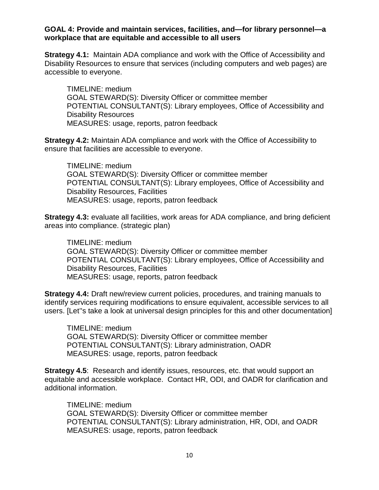#### **GOAL 4: Provide and maintain services, facilities, and—for library personnel—a workplace that are equitable and accessible to all users**

**Strategy 4.1:** Maintain ADA compliance and work with the Office of Accessibility and Disability Resources to ensure that services (including computers and web pages) are accessible to everyone.

TIMELINE: medium GOAL STEWARD(S): Diversity Officer or committee member POTENTIAL CONSULTANT(S): Library employees, Office of Accessibility and Disability Resources MEASURES: usage, reports, patron feedback

**Strategy 4.2:** Maintain ADA compliance and work with the Office of Accessibility to ensure that facilities are accessible to everyone.

TIMELINE: medium GOAL STEWARD(S): Diversity Officer or committee member POTENTIAL CONSULTANT(S): Library employees, Office of Accessibility and Disability Resources, Facilities MEASURES: usage, reports, patron feedback

**Strategy 4.3:** evaluate all facilities, work areas for ADA compliance, and bring deficient areas into compliance. (strategic plan)

TIMELINE: medium GOAL STEWARD(S): Diversity Officer or committee member POTENTIAL CONSULTANT(S): Library employees, Office of Accessibility and Disability Resources, Facilities MEASURES: usage, reports, patron feedback

**Strategy 4.4:** Draft new/review current policies, procedures, and training manuals to identify services requiring modifications to ensure equivalent, accessible services to all users. [Let''s take a look at universal design principles for this and other documentation]

TIMELINE: medium GOAL STEWARD(S): Diversity Officer or committee member POTENTIAL CONSULTANT(S): Library administration, OADR MEASURES: usage, reports, patron feedback

**Strategy 4.5:** Research and identify issues, resources, etc. that would support an equitable and accessible workplace. Contact HR, ODI, and OADR for clarification and additional information.

TIMELINE: medium GOAL STEWARD(S): Diversity Officer or committee member POTENTIAL CONSULTANT(S): Library administration, HR, ODI, and OADR MEASURES: usage, reports, patron feedback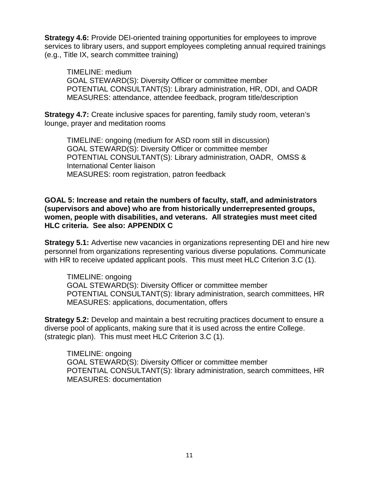**Strategy 4.6:** Provide DEI-oriented training opportunities for employees to improve services to library users, and support employees completing annual required trainings (e.g., Title IX, search committee training)

TIMELINE: medium GOAL STEWARD(S): Diversity Officer or committee member POTENTIAL CONSULTANT(S): Library administration, HR, ODI, and OADR MEASURES: attendance, attendee feedback, program title/description

**Strategy 4.7:** Create inclusive spaces for parenting, family study room, veteran's lounge, prayer and meditation rooms

TIMELINE: ongoing (medium for ASD room still in discussion) GOAL STEWARD(S): Diversity Officer or committee member POTENTIAL CONSULTANT(S): Library administration, OADR, OMSS & International Center liaison MEASURES: room registration, patron feedback

#### **GOAL 5: Increase and retain the numbers of faculty, staff, and administrators (supervisors and above) who are from historically underrepresented groups, women, people with disabilities, and veterans. All strategies must meet cited HLC criteria. See also: APPENDIX C**

**Strategy 5.1:** Advertise new vacancies in organizations representing DEI and hire new personnel from organizations representing various diverse populations. Communicate with HR to receive updated applicant pools. This must meet HLC Criterion 3.C (1).

TIMELINE: ongoing GOAL STEWARD(S): Diversity Officer or committee member POTENTIAL CONSULTANT(S): library administration, search committees, HR MEASURES: applications, documentation, offers

**Strategy 5.2:** Develop and maintain a best recruiting practices document to ensure a diverse pool of applicants, making sure that it is used across the entire College. (strategic plan). This must meet HLC Criterion 3.C (1).

TIMELINE: ongoing GOAL STEWARD(S): Diversity Officer or committee member POTENTIAL CONSULTANT(S): library administration, search committees, HR MEASURES: documentation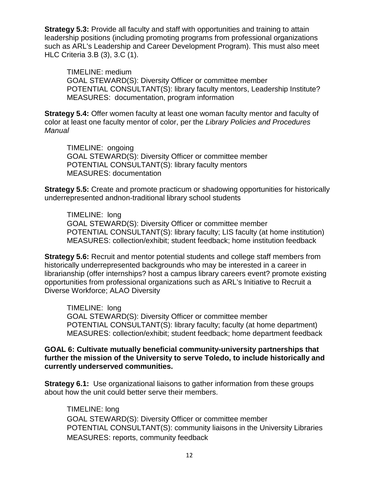**Strategy 5.3:** Provide all faculty and staff with opportunities and training to attain leadership positions (including promoting programs from professional organizations such as ARL's Leadership and Career Development Program). This must also meet HLC Criteria 3.B (3), 3.C (1).

TIMELINE: medium GOAL STEWARD(S): Diversity Officer or committee member POTENTIAL CONSULTANT(S): library faculty mentors, Leadership Institute? MEASURES: documentation, program information

**Strategy 5.4:** Offer women faculty at least one woman faculty mentor and faculty of color at least one faculty mentor of color, per the *Library Policies and Procedures Manual*

TIMELINE: ongoing GOAL STEWARD(S): Diversity Officer or committee member POTENTIAL CONSULTANT(S): library faculty mentors MEASURES: documentation

**Strategy 5.5:** Create and promote practicum or shadowing opportunities for historically underrepresented andnon-traditional library school students

TIMELINE: long GOAL STEWARD(S): Diversity Officer or committee member POTENTIAL CONSULTANT(S): library faculty; LIS faculty (at home institution) MEASURES: collection/exhibit; student feedback; home institution feedback

**Strategy 5.6:** Recruit and mentor potential students and college staff members from historically underrepresented backgrounds who may be interested in a career in librarianship (offer internships? host a campus library careers event? promote existing opportunities from professional organizations such as ARL's Initiative to Recruit a Diverse Workforce; ALAO Diversity

TIMELINE: long GOAL STEWARD(S): Diversity Officer or committee member POTENTIAL CONSULTANT(S): library faculty; faculty (at home department) MEASURES: collection/exhibit; student feedback; home department feedback

**GOAL 6: Cultivate mutually beneficial community-university partnerships that further the mission of the University to serve Toledo, to include historically and currently underserved communities.**

**Strategy 6.1:** Use organizational liaisons to gather information from these groups about how the unit could better serve their members.

TIMELINE: long GOAL STEWARD(S): Diversity Officer or committee member POTENTIAL CONSULTANT(S): community liaisons in the University Libraries MEASURES: reports, community feedback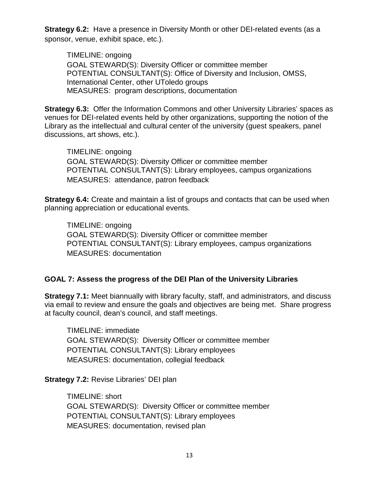**Strategy 6.2:** Have a presence in Diversity Month or other DEI-related events (as a sponsor, venue, exhibit space, etc.).

TIMELINE: ongoing GOAL STEWARD(S): Diversity Officer or committee member POTENTIAL CONSULTANT(S): Office of Diversity and Inclusion, OMSS, International Center, other UToledo groups MEASURES: program descriptions, documentation

**Strategy 6.3:** Offer the Information Commons and other University Libraries' spaces as venues for DEI-related events held by other organizations, supporting the notion of the Library as the intellectual and cultural center of the university (guest speakers, panel discussions, art shows, etc.).

TIMELINE: ongoing GOAL STEWARD(S): Diversity Officer or committee member POTENTIAL CONSULTANT(S): Library employees, campus organizations MEASURES: attendance, patron feedback

**Strategy 6.4:** Create and maintain a list of groups and contacts that can be used when planning appreciation or educational events.

TIMELINE: ongoing GOAL STEWARD(S): Diversity Officer or committee member POTENTIAL CONSULTANT(S): Library employees, campus organizations MEASURES: documentation

## **GOAL 7: Assess the progress of the DEI Plan of the University Libraries**

**Strategy 7.1:** Meet biannually with library faculty, staff, and administrators, and discuss via email to review and ensure the goals and objectives are being met. Share progress at faculty council, dean's council, and staff meetings.

TIMELINE: immediate GOAL STEWARD(S): Diversity Officer or committee member POTENTIAL CONSULTANT(S): Library employees MEASURES: documentation, collegial feedback

**Strategy 7.2:** Revise Libraries' DEI plan

TIMELINE: short GOAL STEWARD(S): Diversity Officer or committee member POTENTIAL CONSULTANT(S): Library employees MEASURES: documentation, revised plan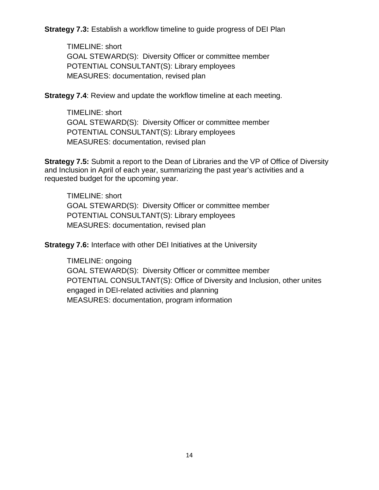**Strategy 7.3:** Establish a workflow timeline to guide progress of DEI Plan

TIMELINE: short GOAL STEWARD(S): Diversity Officer or committee member POTENTIAL CONSULTANT(S): Library employees MEASURES: documentation, revised plan

**Strategy 7.4:** Review and update the workflow timeline at each meeting.

TIMELINE: short GOAL STEWARD(S): Diversity Officer or committee member POTENTIAL CONSULTANT(S): Library employees MEASURES: documentation, revised plan

**Strategy 7.5:** Submit a report to the Dean of Libraries and the VP of Office of Diversity and Inclusion in April of each year, summarizing the past year's activities and a requested budget for the upcoming year.

TIMELINE: short GOAL STEWARD(S): Diversity Officer or committee member POTENTIAL CONSULTANT(S): Library employees MEASURES: documentation, revised plan

**Strategy 7.6:** Interface with other DEI Initiatives at the University

TIMELINE: ongoing GOAL STEWARD(S): Diversity Officer or committee member POTENTIAL CONSULTANT(S): Office of Diversity and Inclusion, other unites engaged in DEI-related activities and planning MEASURES: documentation, program information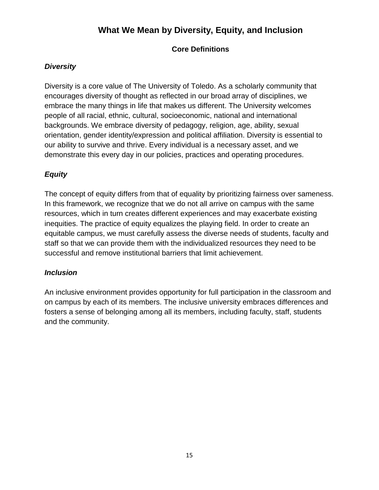# **What We Mean by Diversity, Equity, and Inclusion**

## **Core Definitions**

### *Diversity*

Diversity is a core value of The University of Toledo. As a scholarly community that encourages diversity of thought as reflected in our broad array of disciplines, we embrace the many things in life that makes us different. The University welcomes people of all racial, ethnic, cultural, socioeconomic, national and international backgrounds. We embrace diversity of pedagogy, religion, age, ability, sexual orientation, gender identity/expression and political affiliation. Diversity is essential to our ability to survive and thrive. Every individual is a necessary asset, and we demonstrate this every day in our policies, practices and operating procedures.

## *Equity*

The concept of equity differs from that of equality by prioritizing fairness over sameness. In this framework, we recognize that we do not all arrive on campus with the same resources, which in turn creates different experiences and may exacerbate existing inequities. The practice of equity equalizes the playing field. In order to create an equitable campus, we must carefully assess the diverse needs of students, faculty and staff so that we can provide them with the individualized resources they need to be successful and remove institutional barriers that limit achievement.

## *Inclusion*

An inclusive environment provides opportunity for full participation in the classroom and on campus by each of its members. The inclusive university embraces differences and fosters a sense of belonging among all its members, including faculty, staff, students and the community.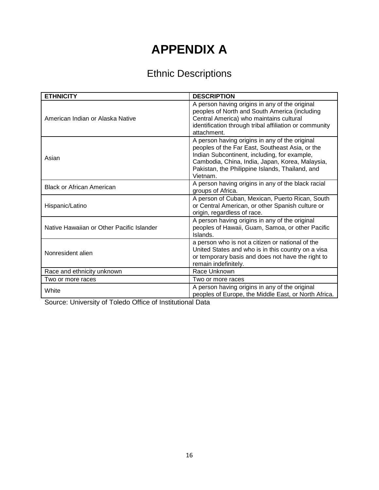# **APPENDIX A**

# Ethnic Descriptions

| <b>ETHNICITY</b>                          | <b>DESCRIPTION</b>                                                                                                                                                                                                                                                  |
|-------------------------------------------|---------------------------------------------------------------------------------------------------------------------------------------------------------------------------------------------------------------------------------------------------------------------|
| American Indian or Alaska Native          | A person having origins in any of the original<br>peoples of North and South America (including<br>Central America) who maintains cultural<br>identification through tribal affiliation or community<br>attachment.                                                 |
| Asian                                     | A person having origins in any of the original<br>peoples of the Far East, Southeast Asia, or the<br>Indian Subcontinent, including, for example,<br>Cambodia, China, India, Japan, Korea, Malaysia,<br>Pakistan, the Philippine Islands, Thailand, and<br>Vietnam. |
| <b>Black or African American</b>          | A person having origins in any of the black racial<br>groups of Africa.                                                                                                                                                                                             |
| Hispanic/Latino                           | A person of Cuban, Mexican, Puerto Rican, South<br>or Central American, or other Spanish culture or<br>origin, regardless of race.                                                                                                                                  |
| Native Hawaiian or Other Pacific Islander | A person having origins in any of the original<br>peoples of Hawaii, Guam, Samoa, or other Pacific<br>Islands.                                                                                                                                                      |
| Nonresident alien                         | a person who is not a citizen or national of the<br>United States and who is in this country on a visa<br>or temporary basis and does not have the right to<br>remain indefinitely.                                                                                 |
| Race and ethnicity unknown                | Race Unknown                                                                                                                                                                                                                                                        |
| Two or more races                         | Two or more races                                                                                                                                                                                                                                                   |
| White                                     | A person having origins in any of the original<br>peoples of Europe, the Middle East, or North Africa.                                                                                                                                                              |

Source: University of Toledo Office of Institutional Data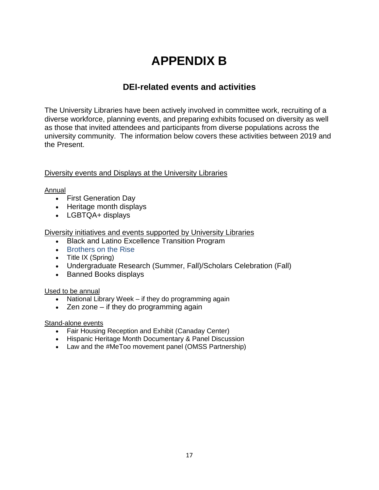# **APPENDIX B**

## **DEI-related events and activities**

The University Libraries have been actively involved in committee work, recruiting of a diverse workforce, planning events, and preparing exhibits focused on diversity as well as those that invited attendees and participants from diverse populations across the university community. The information below covers these activities between 2019 and the Present.

#### Diversity events and Displays at the University Libraries

#### Annual

- First Generation Day
- Heritage month displays
- LGBTQA+ displays

Diversity initiatives and events supported by University Libraries

- Black and Latino Excellence Transition Program
- Brothers on the Rise
- Title IX (Spring)
- Undergraduate Research (Summer, Fall)/Scholars Celebration (Fall)
- Banned Books displays

#### Used to be annual

- National Library Week if they do programming again
- Zen zone if they do programming again

#### Stand-alone events

- Fair Housing Reception and Exhibit (Canaday Center)
- Hispanic Heritage Month Documentary & Panel Discussion
- Law and the #MeToo movement panel (OMSS Partnership)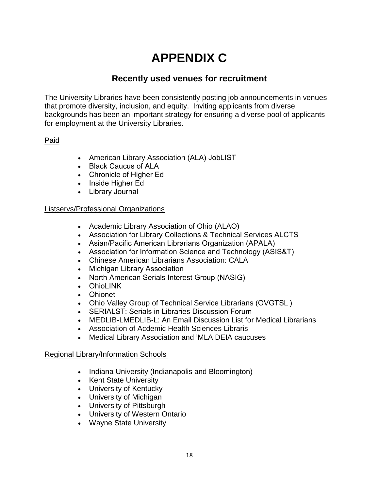# **APPENDIX C**

# **Recently used venues for recruitment**

The University Libraries have been consistently posting job announcements in venues that promote diversity, inclusion, and equity. Inviting applicants from diverse backgrounds has been an important strategy for ensuring a diverse pool of applicants for employment at the University Libraries.

## Paid

- American Library Association (ALA) JobLIST
- Black Caucus of ALA
- Chronicle of Higher Ed
- Inside Higher Ed
- Library Journal

#### Listservs/Professional Organizations

- Academic Library Association of Ohio (ALAO)
- Association for Library Collections & Technical Services ALCTS
- Asian/Pacific American Librarians Organization (APALA)
- Association for Information Science and Technology (ASIS&T)
- Chinese American Librarians Association: CALA
- Michigan Library Association
- North American Serials Interest Group (NASIG)
- OhioLINK
- Ohionet
- Ohio Valley Group of Technical Service Librarians (OVGTSL )
- SERIALST: Serials in Libraries Discussion Forum
- MEDLIB-LMEDLIB-L: An Email Discussion List for Medical Librarians
- Association of Acdemic Health Sciences Libraris
- Medical Library Association and 'MLA DEIA caucuses

#### Regional Library/Information Schools

- Indiana University (Indianapolis and Bloomington)
- Kent State University
- University of Kentucky
- University of Michigan
- University of Pittsburgh
- University of Western Ontario
- Wayne State University